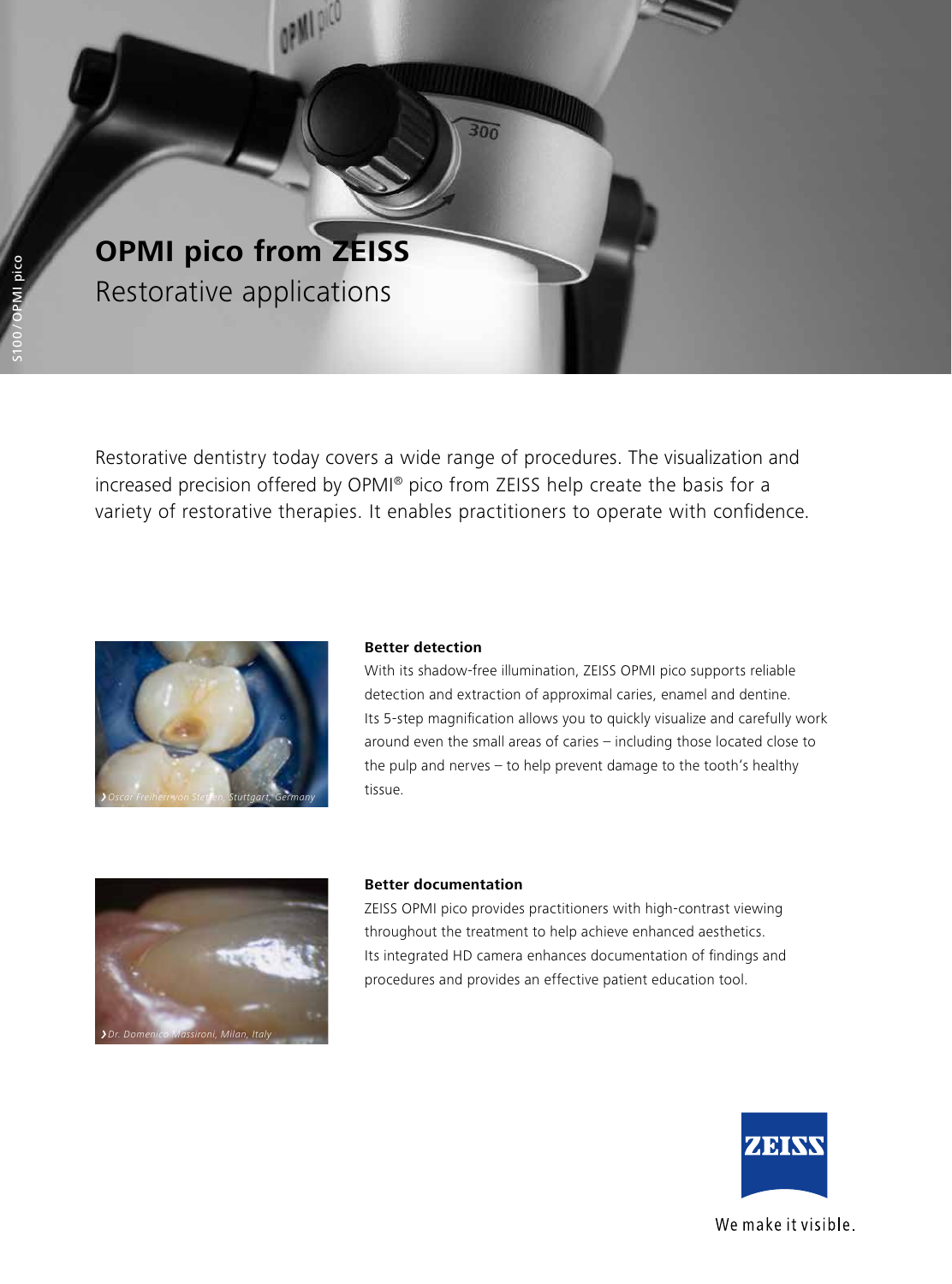

Restorative dentistry today covers a wide range of procedures. The visualization and increased precision offered by OPMI® pico from ZEISS help create the basis for a variety of restorative therapies. It enables practitioners to operate with confidence.

 $300$ 



## **Better detection**

With its shadow-free illumination, ZEISS OPMI pico supports reliable detection and extraction of approximal caries, enamel and dentine. Its 5-step magnification allows you to quickly visualize and carefully work around even the small areas of caries – including those located close to the pulp and nerves – to help prevent damage to the tooth's healthy tissue.



## **Better documentation**

ZEISS OPMI pico provides practitioners with high-contrast viewing throughout the treatment to help achieve enhanced aesthetics. Its integrated HD camera enhances documentation of findings and procedures and provides an effective patient education tool.



We make it visible.